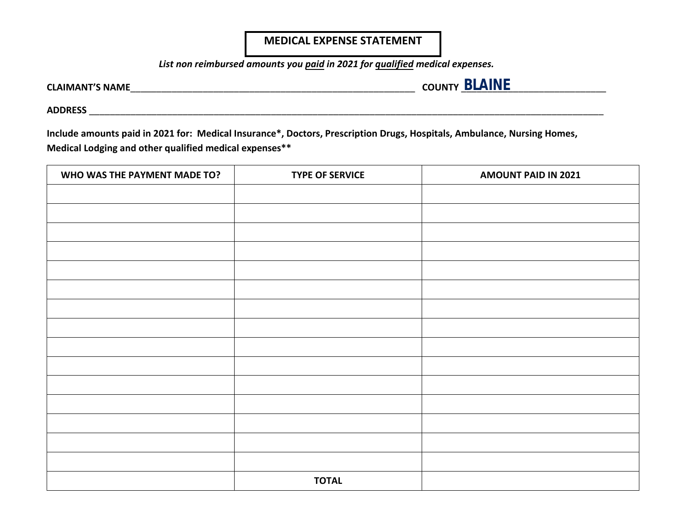## **MEDICAL EXPENSE STATEMENT**

*List non reimbursed amounts you paid in 2021 for qualified medical expenses.* 

**CLAIMANT'S NAME**\_\_\_\_\_\_\_\_\_\_\_\_\_\_\_\_\_\_\_\_\_\_\_\_\_\_\_\_\_\_\_\_\_\_\_\_\_\_\_\_\_\_\_\_\_\_\_\_\_\_\_\_\_\_\_ **COUNTY** \_\_\_\_\_\_\_\_\_\_\_\_\_\_\_\_\_\_\_\_\_\_\_\_\_\_\_\_ **BLAINE**

**ADDRESS** \_\_\_\_\_\_\_\_\_\_\_\_\_\_\_\_\_\_\_\_\_\_\_\_\_\_\_\_\_\_\_\_\_\_\_\_\_\_\_\_\_\_\_\_\_\_\_\_\_\_\_\_\_\_\_\_\_\_\_\_\_\_\_\_\_\_\_\_\_\_\_\_\_\_\_\_\_\_\_\_\_\_\_\_\_\_\_\_\_\_\_\_\_\_\_\_\_\_\_

**Include amounts paid in 2021 for: Medical Insurance\*, Doctors, Prescription Drugs, Hospitals, Ambulance, Nursing Homes, Medical Lodging and other qualified medical expenses\*\*** 

| WHO WAS THE PAYMENT MADE TO? | <b>TYPE OF SERVICE</b> | <b>AMOUNT PAID IN 2021</b> |  |
|------------------------------|------------------------|----------------------------|--|
|                              |                        |                            |  |
|                              |                        |                            |  |
|                              |                        |                            |  |
|                              |                        |                            |  |
|                              |                        |                            |  |
|                              |                        |                            |  |
|                              |                        |                            |  |
|                              |                        |                            |  |
|                              |                        |                            |  |
|                              |                        |                            |  |
|                              |                        |                            |  |
|                              |                        |                            |  |
|                              |                        |                            |  |
|                              |                        |                            |  |
|                              |                        |                            |  |
|                              |                        |                            |  |
|                              | <b>TOTAL</b>           |                            |  |